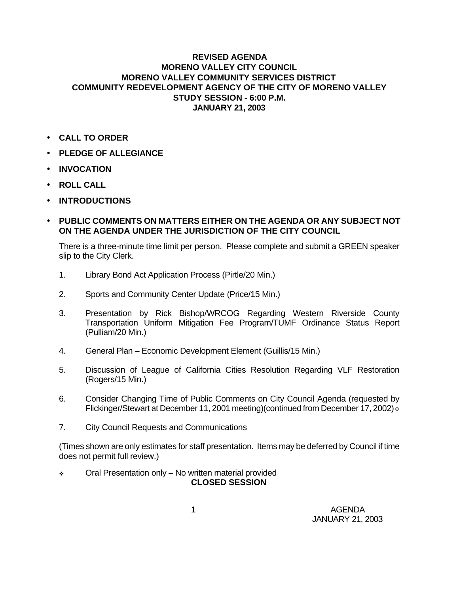## **REVISED AGENDA MORENO VALLEY CITY COUNCIL MORENO VALLEY COMMUNITY SERVICES DISTRICT COMMUNITY REDEVELOPMENT AGENCY OF THE CITY OF MORENO VALLEY STUDY SESSION - 6:00 P.M. JANUARY 21, 2003**

- **CALL TO ORDER**
- **PLEDGE OF ALLEGIANCE**
- **INVOCATION**
- **ROLL CALL**
- **INTRODUCTIONS**
- **PUBLIC COMMENTS ON MATTERS EITHER ON THE AGENDA OR ANY SUBJECT NOT ON THE AGENDA UNDER THE JURISDICTION OF THE CITY COUNCIL**

There is a three-minute time limit per person. Please complete and submit a GREEN speaker slip to the City Clerk.

- 1. Library Bond Act Application Process (Pirtle/20 Min.)
- 2. Sports and Community Center Update (Price/15 Min.)
- 3. Presentation by Rick Bishop/WRCOG Regarding Western Riverside County Transportation Uniform Mitigation Fee Program/TUMF Ordinance Status Report (Pulliam/20 Min.)
- 4. General Plan Economic Development Element (Guillis/15 Min.)
- 5. Discussion of League of California Cities Resolution Regarding VLF Restoration (Rogers/15 Min.)
- 6. Consider Changing Time of Public Comments on City Council Agenda (requested by Flickinger/Stewart at December 11, 2001 meeting)(continued from December 17, 2002)  $\cdot$
- 7. City Council Requests and Communications

(Times shown are only estimates for staff presentation. Items may be deferred by Council if time does not permit full review.)

• Oral Presentation only – No written material provided **CLOSED SESSION**

 1 AGENDA JANUARY 21, 2003